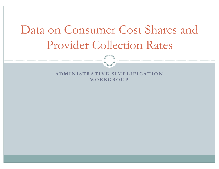# Data on Consumer Cost Shares and Provider Collection Rates

**ADMINISTRATIVE SIMPLIFICATION WORKGROUP**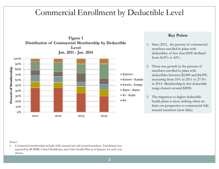## Commercial Enrollment by Deductible Level



### **Key Points**

- 1. Since 2011, the percent of commercial members enrolled in plans with deductibles of less than \$500 declined from 56.8% to  $42\%$ .
- 2. There was growth in the percent of members enrolled in plans with deductibles between \$2,000 and \$4,999, increasing from 16% in 2011 to 27.4% in 2014. Membership in this deductible range clusters around \$2000.
- 3. The migration to higher deductible health plans is more striking when we limit our perspective to commercial fully insured members (next slide).

#### Notes:

1. Commercial membership includes fully insured and self insured members. Enrollment was reported by BCBSRI, United Healthcare, and Tufts Health Plan as of January for each year shown.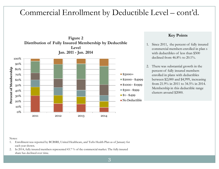#### Commercial Enrollment by Deductible Level – cont'd.



### **Key Points**

- 1. Since 2011, the percent of fully insured commercial members enrolled in plan s with deductibles of less than \$500 declined from  $46.8\%$  to  $20.1\%$ .
- 2. There was substantial growth in the percent of fully insured members enrolled in plans with deductibles between \$2,000 and \$4,999, increasing from 21.9% in 2011 to 34.5% in 2014. Membership in this deductible range clusters around \$2000.

#### Notes:

- 1. Enrollment was reported by BCBSRI, United Healthcare, and Tufts Health Plan as of January for each year shown.
- 2. In 2014, fully insured members represented 43.7 % of the commercial market. The fully insured share has declined over time.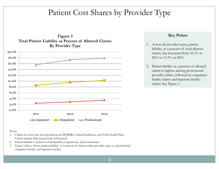## Patient Cost Shares by Provider Type



### **Key Points**

- 1. Across all provider types, patient liability, as a percent of total allowed claims, has increased from 10.1% in 2011 to 11.5% in 2013.
- 2. Patient liability as a percent of allowed claims is highest among professional provider claims, followed by outpatient facility claims and inpatient facility claims. See Figure 3.

#### Notes:

- 1. Claims for each year were pooled across BCBSRI, United Healthcare, and Tufts Health Plan. Claims include fully insured and self insured.
- 2. Patient liability is inclusive of deductibles, copayments, and coinsurance.
- 3. Figure 3 above shows patient liability as a percent of claims within provider type, i.e. professional, outpatient facility, and inpatient facility.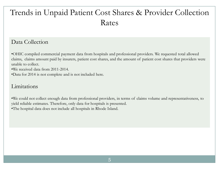## Trends in Unpaid Patient Cost Shares & Provider Collection Rates

## Data Collection

•OHIC compiled commercial payment data from hospitals and professional providers. We requested total allowed claims, claims amount paid by insurers, patient cost shares, and the amount of patient cost shares that providers were unable to collect.

•We received data from 2011-2014.

•Data for 2014 is not complete and is not included here.

### Limitations

•We could not collect enough data from professional providers, in terms of claims volume and representativeness, to yield reliable estimates. Therefore, only data for hospitals is presented. •The hospital data does not include all hospitals in Rhode Island.